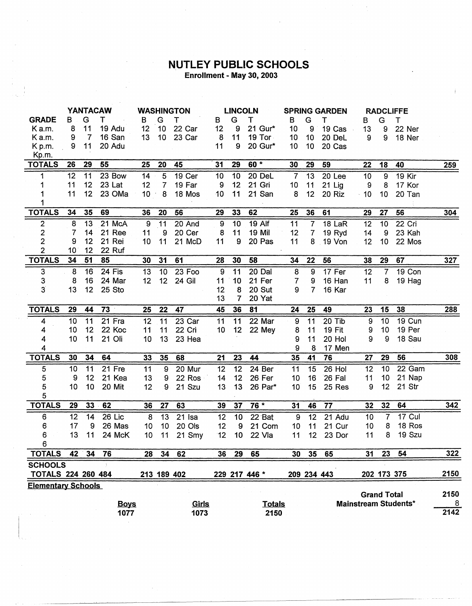## **NUTLEY PUBLIC SCHOOLS**<br>Enrollment - May 30, 2003

|                           | <b>YANTACAW</b> |                 | <b>WASHINGTON</b> |                 | <b>LINCOLN</b>  |             | <b>SPRING GARDEN</b> |                |               | <b>RADCLIFFE</b> |                 |               |                |                    |                             |                  |
|---------------------------|-----------------|-----------------|-------------------|-----------------|-----------------|-------------|----------------------|----------------|---------------|------------------|-----------------|---------------|----------------|--------------------|-----------------------------|------------------|
| <b>GRADE</b>              | в               | G               | T                 | в               | G               | т           | в                    | G              | Τ             | В                | G               | т             | в              | G                  | Τ                           |                  |
| K a.m.                    | 8               | 11              | 19 Adu            | 12              | 10              | 22 Car      | 12                   | 9              | 21 Gur*       | 10               | 9               | 19 Cas        | 13             | 9                  | 22 Ner                      |                  |
| Ka.m.                     | 9               | 7               | 16 San            | 13              | 10 <sub>1</sub> | 23 Car      | 8                    | 11             | 19 Tor        | 10               | 10 <sub>1</sub> | 20 DeL        | 9              | 9                  | 18 Ner                      |                  |
| Kp.m.                     | 9               | 11              | 20 Adu            |                 |                 |             | 11                   | 9              | 20 Gur*       | 10               | 10              | 20 Cas        |                |                    |                             |                  |
| Kp.m.                     |                 |                 |                   |                 |                 |             |                      |                |               |                  |                 |               |                |                    |                             |                  |
| <b>TOTALS</b>             | 26              | 29              | 55                | 25              | 20              | 45          | 31                   | 29             | $60 *$        | 30               | 29              | 59            | 22             | 18                 | 40                          | 259              |
| 1                         | 12              | 11              | 23 Bow            | 14              | $\overline{5}$  | 19 Cer      | 10                   | 10             | 20 DeL        | $\overline{7}$   | 13              | 20 Lee        | 10             | 9                  | 19 Kir                      |                  |
|                           | 11              | 12 <sup>°</sup> | 23 Lat            | 12              | 7               | 19 Far      | 9                    | 12             | 21 Gri        | 10               | 11              | $21$ Lig      | 9              | 8                  | 17 Kor                      |                  |
|                           | 11              | 12 <sup>1</sup> | 23 OMa            | 10 <sup>1</sup> | 8               | 18 Mos      | 10                   | 11             | 21 San        | 8                | 12              | 20 Riz        | $-10$          | 10                 | 20 Tan                      |                  |
|                           |                 |                 |                   |                 |                 |             |                      |                |               |                  |                 |               |                |                    |                             |                  |
| <b>TOTALS</b>             | 34              | 35              | 69                | 36              | 20              | 56          | 29                   | 33             | 62            | 25               | 36              | 61            | 29             | 27                 | 56                          | 304              |
| 2                         | 8               | 13              | 21 McA            | 9               | 11              | 20 And      | 9                    | 10             | 19 Alf        | 11               | 7               | 18 LaR        | 12             | 10                 | 22 Cri                      |                  |
| $\overline{\mathbf{c}}$   | 7               | 14              | 21 Ree            | 11              | 9               | 20 Cer      | 8                    | 11             | 19 Mil        | 12               | $\overline{7}$  | 19 Ryd        | 14             | 9                  | 23 Kah                      |                  |
| $\overline{2}$            | 9               | 12              | 21 Rei            | 10              | 11              | 21 McD      | 11                   | 9              | 20 Pas        | 11               |                 | 8 19 Von      | 12             | 10                 | 22 Mos                      |                  |
| $\overline{2}$            | 10              | 12              | 22 Ruf            |                 |                 |             |                      |                |               |                  |                 |               |                |                    |                             |                  |
| <b>TOTALS</b>             | 34              | 51              | 85                | 30              | 31              | 61          | 28                   | 30             | 58            | 34               | 22              | 56            | 38             | 29                 | 67                          | 327              |
| 3                         | 8               | 16              | 24 Fis            | 13              | 10              | 23 Foo      | 9                    | 11             | 20 Dal        | $\bf 8$          | 9               | 17 Fer        | 12             | 7                  | 19 Con                      |                  |
| $\ensuremath{\mathsf{3}}$ | 8               | 16              | 24 Mar            | 12              | 12 <sub>2</sub> | 24 Gil      | 11                   | 10             | 21 Fer        | $\overline{7}$   | 9               | 16 Han        | 11             | 8                  | 19 Hag                      |                  |
| 3                         | 13              | 12              | 25 Sto            |                 |                 |             | 12                   | 8              | 20 Sut        | 9                | 7               | 16 Kar        |                |                    |                             |                  |
|                           |                 |                 |                   |                 |                 |             | 13                   | $\overline{7}$ | 20 Yat        |                  |                 |               |                |                    |                             |                  |
| <b>TOTALS</b>             | 29              | 44              | $73 -$            | 25              | 22              | 47          | 45                   | 36             | 81            | 24               | 25              | 49            | 23             | 15                 | 38                          | 288              |
| 4                         | 10              | 11              | 21 Fra            | 12              | 11              | 23 Car      | 11                   | 11             | $22$ Mar      | $\overline{9}$   | 11              | $20$ Tib      | $\overline{9}$ | 10                 | 19 Cun                      |                  |
| 4                         | 10              | 12              | 22 Koc            | 11              | 11              | 22 Cri      | 10                   | 12             | 22 Mey        | 8                | 11              | <b>19 Fit</b> | 9              | 10                 | 19 Per                      |                  |
| 4                         | 10              | 11              | 21 Oli            | 10              | 13              | 23 Hea      |                      |                |               | 9                | 11              | 20 Hol        | 9              | 9                  | 18 Sau                      |                  |
| 4                         |                 |                 |                   |                 |                 |             |                      |                |               | 9                | 8               | 17 Men        |                |                    |                             |                  |
| <b>TOTALS</b>             | 30              | 34              | 64                | 33              | 35              | 68          | 21                   | 23             | 44            | 35               | 41              | 76            | 27             | 29                 | 56                          | 308              |
| 5                         | 10              | 11              | 21 Fre            | 11              | 9               | 20 Mur      | 12                   | 12             | 24 Ber        | 11               | 15              | 26 Hol        | 12             | 10                 | 22 Gam                      |                  |
| 5                         | 9               | 12              | 21 Kea            | 13              | 9               | 22 Ros      | 14                   | 12             | 26 Fer        | 10               | 16              | 26 Fal        | 11             | 10                 | 21 Nap                      |                  |
| 5                         | 10              | 10              | 20 Mit            | 12              | 9               | 21 Szu      | 13                   | 13             | 26 Par*       | 10               | 15              | 25 Res        | 9              | 12                 | 21 Str                      |                  |
| 5                         |                 |                 |                   |                 |                 |             |                      |                |               |                  |                 |               |                |                    |                             |                  |
| <b>TOTALS</b>             | 29              | 33 <sub>°</sub> | 62                | 36              | 27              | 63          | 39                   | 37             | 76 *          | 31               | 46              | 77            | 32             | 32                 | 64                          | 342              |
| 6                         | 12              | 14              | 26 Lic            | 8               | 13              | 21 Isa      | 12                   | 10             | 22 Bat        | $\boldsymbol{9}$ | $\overline{12}$ | 21 Adu        | 10             | 7                  | 17 Cul                      |                  |
| 6                         | 17              | 9               | 26 Mas            | 10              | 10              | 20 Ols      | 12                   | 9              | 21 Com        | 10               | 11              | 21 Cur        | 10             | 8                  | 18 Ros                      |                  |
| 6                         | 13              | 11              | 24 McK            | 10              | 11              | 21 Smy      | 12                   | 10             | 22 Vla        | 11               | 12              | 23 Dor        | 11             | 8                  | 19 Szu                      |                  |
| 6                         |                 |                 |                   |                 |                 |             |                      |                |               |                  |                 |               |                |                    |                             |                  |
| <b>TOTALS</b>             | 42              | 34              | 76                | 28              | 34              | 62          | 36                   | 29             | 65            | 30               | 35              | 65            | 31             | 23                 | 54                          | 322              |
| <b>SCHOOLS</b>            |                 |                 |                   |                 |                 |             |                      |                |               |                  |                 |               |                |                    |                             |                  |
| <b>TOTALS 224 260 484</b> |                 |                 |                   |                 |                 | 213 189 402 |                      |                | 229 217 446 * |                  |                 | 209 234 443   |                | 202 173 375        |                             | 2150             |
| <b>Elementary Schools</b> |                 |                 |                   |                 |                 |             |                      |                |               |                  |                 |               |                |                    |                             |                  |
|                           |                 |                 |                   |                 |                 |             |                      |                |               |                  |                 |               |                | <b>Grand Total</b> |                             | 2150             |
|                           |                 |                 | <b>Boys</b>       |                 |                 | Girls       |                      |                | <b>Totals</b> |                  |                 |               |                |                    | <b>Mainstream Students*</b> | $\boldsymbol{8}$ |
|                           |                 |                 | 1077              |                 |                 | 1073        |                      |                | 2150          |                  |                 |               |                |                    |                             | 2142             |